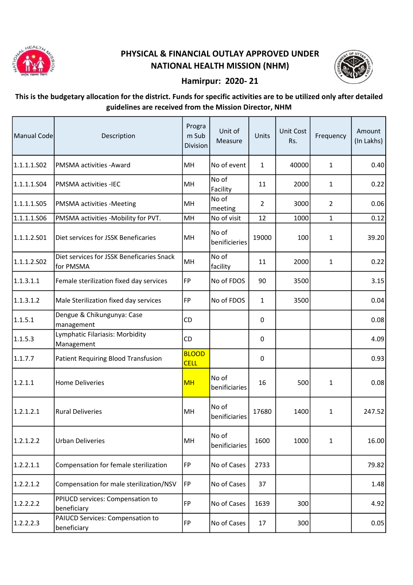

## PHYSICAL & FINANCIAL OUTLAY APPROVED UNDER NATIONAL HEALTH MISSION (NHM)



## Hamirpur: 2020- 21

## This is the budgetary allocation for the district. Funds for specific activities are to be utilized only after detailed guidelines are received from the Mission Director, NHM

| Manual Code | Description                                            | Progra<br>m Sub<br>Division | Unit of<br>Measure     | Units          | Unit Cost<br>Rs. | Frequency      | Amount<br>(In Lakhs) |
|-------------|--------------------------------------------------------|-----------------------------|------------------------|----------------|------------------|----------------|----------------------|
| 1.1.1.1.502 | <b>PMSMA</b> activities - Award                        | MH                          | No of event            | $\mathbf{1}$   | 40000            | $\mathbf{1}$   | 0.40                 |
| 1.1.1.1.504 | <b>PMSMA activities -IEC</b>                           | MH                          | No of<br>Facility      | 11             | 2000             | $\mathbf{1}$   | 0.22                 |
| 1.1.1.1.S05 | <b>PMSMA</b> activities -Meeting                       | MH                          | No of<br>meeting       | $\overline{2}$ | 3000             | $\overline{2}$ | 0.06                 |
| 1.1.1.1.S06 | PMSMA activities -Mobility for PVT.                    | MH                          | No of visit            | 12             | 1000             | $\mathbf{1}$   | 0.12                 |
| 1.1.1.2.501 | Diet services for JSSK Beneficaries                    | MH                          | No of<br>benificieries | 19000          | 100              | $\mathbf{1}$   | 39.20                |
| 1.1.1.2.502 | Diet services for JSSK Beneficaries Snack<br>for PMSMA | MH                          | No of<br>facility      | 11             | 2000             | $\mathbf{1}$   | 0.22                 |
| 1.1.3.1.1   | Female sterilization fixed day services                | <b>FP</b>                   | No of FDOS             | 90             | 3500             |                | 3.15                 |
| 1.1.3.1.2   | Male Sterilization fixed day services                  | <b>FP</b>                   | No of FDOS             | $\mathbf{1}$   | 3500             |                | 0.04                 |
| 1.1.5.1     | Dengue & Chikungunya: Case<br>management               | <b>CD</b>                   |                        | 0              |                  |                | 0.08                 |
| 1.1.5.3     | Lymphatic Filariasis: Morbidity<br>Management          | <b>CD</b>                   |                        | 0              |                  |                | 4.09                 |
| 1.1.7.7     | Patient Requiring Blood Transfusion                    | <b>BLOOD</b><br><b>CELL</b> |                        | 0              |                  |                | 0.93                 |
| 1.2.1.1     | <b>Home Deliveries</b>                                 | <b>MH</b>                   | No of<br>benificiaries | 16             | 500              | $\mathbf{1}$   | 0.08                 |
| 1.2.1.2.1   | <b>Rural Deliveries</b>                                | MH                          | No of<br>benificiaries | 17680          | 1400             | $\mathbf{1}$   | 247.52               |
| 1.2.1.2.2   | <b>Urban Deliveries</b>                                | MH                          | No of<br>benificiaries | 1600           | 1000             | $\mathbf{1}$   | 16.00                |
| 1.2.2.1.1   | Compensation for female sterilization                  | <b>FP</b>                   | No of Cases            | 2733           |                  |                | 79.82                |
| 1.2.2.1.2   | Compensation for male sterilization/NSV                | FP                          | No of Cases            | 37             |                  |                | 1.48                 |
| 1.2.2.2.2   | PPIUCD services: Compensation to<br>beneficiary        | <b>FP</b>                   | No of Cases            | 1639           | 300              |                | 4.92                 |
| 1.2.2.2.3   | PAIUCD Services: Compensation to<br>beneficiary        | <b>FP</b>                   | No of Cases            | 17             | 300              |                | 0.05                 |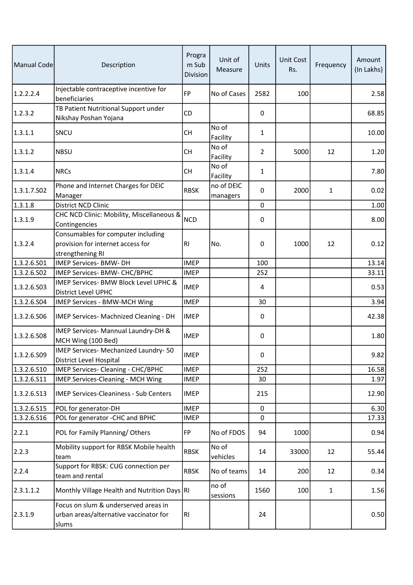| Manual Code | Description                                                                                 | Progra<br>m Sub<br>Division | Unit of<br>Measure     | Units          | <b>Unit Cost</b><br>Rs. | Frequency    | Amount<br>(In Lakhs) |
|-------------|---------------------------------------------------------------------------------------------|-----------------------------|------------------------|----------------|-------------------------|--------------|----------------------|
| 1.2.2.2.4   | Injectable contraceptive incentive for<br>beneficiaries                                     | <b>FP</b>                   | No of Cases            | 2582           | 100                     |              | 2.58                 |
| 1.2.3.2     | TB Patient Nutritional Support under<br>Nikshay Poshan Yojana                               | <b>CD</b>                   |                        | 0              |                         |              | 68.85                |
| 1.3.1.1     | SNCU                                                                                        | <b>CH</b>                   | No of<br>Facility      | $\mathbf{1}$   |                         |              | 10.00                |
| 1.3.1.2     | <b>NBSU</b>                                                                                 | <b>CH</b>                   | No of<br>Facility      | $\overline{2}$ | 5000                    | 12           | 1.20                 |
| 1.3.1.4     | <b>NRCs</b>                                                                                 | <b>CH</b>                   | No of<br>Facility      | 1              |                         |              | 7.80                 |
| 1.3.1.7.502 | Phone and Internet Charges for DEIC<br>Manager                                              | <b>RBSK</b>                 | no of DEIC<br>managers | 0              | 2000                    | $\mathbf{1}$ | 0.02                 |
| 1.3.1.8     | <b>District NCD Clinic</b>                                                                  |                             |                        | $\mathbf 0$    |                         |              | 1.00                 |
| 1.3.1.9     | CHC NCD Clinic: Mobility, Miscellaneous &<br>Contingencies                                  | <b>NCD</b>                  |                        | 0              |                         |              | 8.00                 |
| 1.3.2.4     | Consumables for computer including<br>provision for internet access for<br>strengthening RI | R <sub>1</sub>              | No.                    | 0              | 1000                    | 12           | 0.12                 |
| 1.3.2.6.S01 | <b>IMEP Services- BMW- DH</b>                                                               | <b>IMEP</b>                 |                        | 100            |                         |              | 13.14                |
| 1.3.2.6.S02 | IMEP Services- BMW- CHC/BPHC                                                                | <b>IMEP</b>                 |                        | 252            |                         |              | 33.11                |
| 1.3.2.6.503 | IMEP Services- BMW Block Level UPHC &<br><b>District Level UPHC</b>                         | <b>IMEP</b>                 |                        | 4              |                         |              | 0.53                 |
| 1.3.2.6.504 | IMEP Services - BMW-MCH Wing                                                                | <b>IMEP</b>                 |                        | 30             |                         |              | 3.94                 |
| 1.3.2.6.506 | IMEP Services- Machnized Cleaning - DH                                                      | <b>IMEP</b>                 |                        | 0              |                         |              | 42.38                |
| 1.3.2.6.508 | IMEP Services- Mannual Laundry-DH &<br>MCH Wing (100 Bed)                                   | <b>IMEP</b>                 |                        | 0              |                         |              | 1.80                 |
| 1.3.2.6.509 | IMEP Services- Mechanized Laundry-50<br>District Level Hospital                             | <b>IMEP</b>                 |                        | $\Omega$       |                         |              | 9.82                 |
| 1.3.2.6.510 | IMEP Services- Cleaning - CHC/BPHC                                                          | <b>IMEP</b>                 |                        | 252            |                         |              | 16.58                |
| 1.3.2.6.S11 | IMEP Services-Cleaning - MCH Wing                                                           | IMEP                        |                        | 30             |                         |              | 1.97                 |
| 1.3.2.6.513 | <b>IMEP Services-Cleaniness - Sub Centers</b>                                               | <b>IMEP</b>                 |                        | 215            |                         |              | 12.90                |
| 1.3.2.6.515 | POL for generator-DH                                                                        | <b>IMEP</b>                 |                        | 0              |                         |              | 6.30                 |
| 1.3.2.6.516 | POL for generator -CHC and BPHC                                                             | <b>IMEP</b>                 |                        | 0              |                         |              | 17.33                |
| 2.2.1       | POL for Family Planning/Others                                                              | FP                          | No of FDOS             | 94             | 1000                    |              | 0.94                 |
| 2.2.3       | Mobility support for RBSK Mobile health<br>team                                             | <b>RBSK</b>                 | No of<br>vehicles      | 14             | 33000                   | 12           | 55.44                |
| 2.2.4       | Support for RBSK: CUG connection per<br>team and rental                                     | <b>RBSK</b>                 | No of teams            | 14             | 200                     | 12           | 0.34                 |
| 2.3.1.1.2   | Monthly Village Health and Nutrition Days RI                                                |                             | no of<br>sessions      | 1560           | 100                     | $\mathbf{1}$ | 1.56                 |
| 2.3.1.9     | Focus on slum & underserved areas in<br>urban areas/alternative vaccinator for<br>slums     | R <sub>l</sub>              |                        | 24             |                         |              | 0.50                 |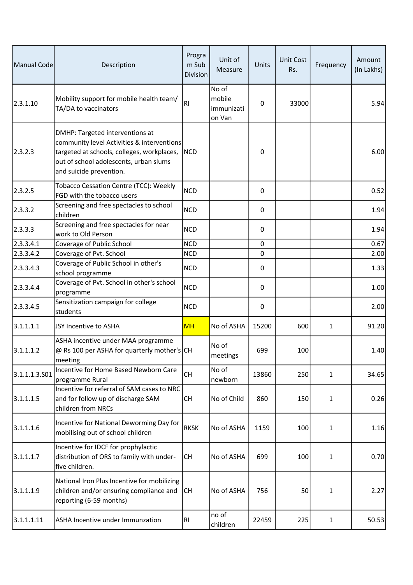| Manual Code   | Description                                                                                                                                                                                      | Progra<br>m Sub<br>Division | Unit of<br>Measure                      | Units       | <b>Unit Cost</b><br>Rs. | Frequency    | Amount<br>(In Lakhs) |
|---------------|--------------------------------------------------------------------------------------------------------------------------------------------------------------------------------------------------|-----------------------------|-----------------------------------------|-------------|-------------------------|--------------|----------------------|
| 2.3.1.10      | Mobility support for mobile health team/<br>TA/DA to vaccinators                                                                                                                                 | <b>RI</b>                   | No of<br>mobile<br>immunizati<br>on Van | 0           | 33000                   |              | 5.94                 |
| 2.3.2.3       | DMHP: Targeted interventions at<br>community level Activities & interventions<br>targeted at schools, colleges, workplaces,<br>out of school adolescents, urban slums<br>and suicide prevention. | <b>NCD</b>                  |                                         | 0           |                         |              | 6.00                 |
| 2.3.2.5       | Tobacco Cessation Centre (TCC): Weekly<br>FGD with the tobacco users                                                                                                                             | <b>NCD</b>                  |                                         | 0           |                         |              | 0.52                 |
| 2.3.3.2       | Screening and free spectacles to school<br>children                                                                                                                                              | <b>NCD</b>                  |                                         | 0           |                         |              | 1.94                 |
| 2.3.3.3       | Screening and free spectacles for near<br>work to Old Person                                                                                                                                     | <b>NCD</b>                  |                                         | 0           |                         |              | 1.94                 |
| 2.3.3.4.1     | Coverage of Public School                                                                                                                                                                        | <b>NCD</b>                  |                                         | 0           |                         |              | 0.67                 |
| 2.3.3.4.2     | Coverage of Pvt. School                                                                                                                                                                          | <b>NCD</b>                  |                                         | $\pmb{0}$   |                         |              | 2.00                 |
| 2.3.3.4.3     | Coverage of Public School in other's<br>school programme                                                                                                                                         | <b>NCD</b>                  |                                         | $\pmb{0}$   |                         |              | 1.33                 |
| 2.3.3.4.4     | Coverage of Pvt. School in other's school<br>programme                                                                                                                                           | <b>NCD</b>                  |                                         | 0           |                         |              | 1.00                 |
| 2.3.3.4.5     | Sensitization campaign for college<br>students                                                                                                                                                   | <b>NCD</b>                  |                                         | $\mathbf 0$ |                         |              | 2.00                 |
| 3.1.1.1.1     | JSY Incentive to ASHA                                                                                                                                                                            | <b>MH</b>                   | No of ASHA                              | 15200       | 600                     | 1            | 91.20                |
| 3.1.1.1.2     | ASHA incentive under MAA programme<br>@ Rs 100 per ASHA for quarterly mother's CH<br>meeting                                                                                                     |                             | No of<br>meetings                       | 699         | 100                     |              | 1.40                 |
| 3.1.1.1.3.S01 | Incentive for Home Based Newborn Care<br>programme Rural                                                                                                                                         | <b>CH</b>                   | No of<br>newborn                        | 13860       | 250                     | $\mathbf{1}$ | 34.65                |
| 3.1.1.1.5     | Incentive for referral of SAM cases to NRC<br>and for follow up of discharge SAM<br>children from NRCs                                                                                           | <b>CH</b>                   | No of Child                             | 860         | 150                     | $\mathbf{1}$ | 0.26                 |
| 3.1.1.1.6     | Incentive for National Deworming Day for<br>mobilising out of school children                                                                                                                    | <b>RKSK</b>                 | No of ASHA                              | 1159        | 100                     | $\mathbf{1}$ | 1.16                 |
| 3.1.1.1.7     | Incentive for IDCF for prophylactic<br>distribution of ORS to family with under-<br>five children.                                                                                               | <b>CH</b>                   | No of ASHA                              | 699         | 100                     | $\mathbf{1}$ | 0.70                 |
| 3.1.1.1.9     | National Iron Plus Incentive for mobilizing<br>children and/or ensuring compliance and<br>reporting (6-59 months)                                                                                | <b>CH</b>                   | No of ASHA                              | 756         | 50                      | $\mathbf{1}$ | 2.27                 |
| 3.1.1.1.11    | ASHA Incentive under Immunzation                                                                                                                                                                 | R <sub>l</sub>              | no of<br>children                       | 22459       | 225                     | $\mathbf{1}$ | 50.53                |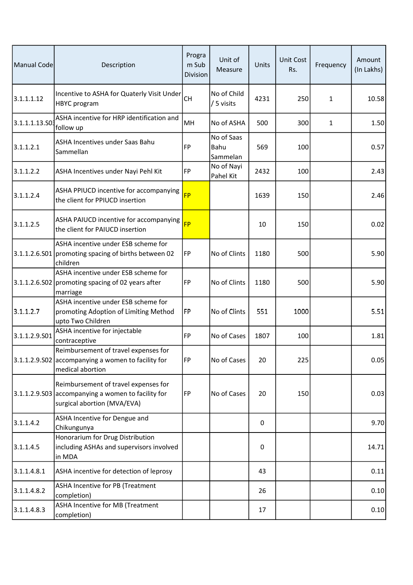| Manual Code    | Description                                                                                                               | Progra<br>m Sub<br>Division | Unit of<br>Measure             | Units | <b>Unit Cost</b><br>Rs. | Frequency | Amount<br>(In Lakhs) |
|----------------|---------------------------------------------------------------------------------------------------------------------------|-----------------------------|--------------------------------|-------|-------------------------|-----------|----------------------|
| 3.1.1.1.12     | Incentive to ASHA for Quaterly Visit Under<br><b>HBYC</b> program                                                         | <b>CH</b>                   | No of Child<br>/ 5 visits      | 4231  | 250                     | 1         | 10.58                |
| 3.1.1.1.13.503 | ASHA incentive for HRP identification and<br>follow up                                                                    | MH                          | No of ASHA                     | 500   | 300                     | 1         | 1.50                 |
| 3.1.1.2.1      | ASHA Incentives under Saas Bahu<br>Sammellan                                                                              | <b>FP</b>                   | No of Saas<br>Bahu<br>Sammelan | 569   | 100                     |           | 0.57                 |
| 3.1.1.2.2      | ASHA Incentives under Nayi Pehl Kit                                                                                       | FP                          | No of Nayi<br>Pahel Kit        | 2432  | 100                     |           | 2.43                 |
| 3.1.1.2.4      | ASHA PPIUCD incentive for accompanying<br>the client for PPIUCD insertion                                                 | <b>FP</b>                   |                                | 1639  | 150                     |           | 2.46                 |
| 3.1.1.2.5      | ASHA PAIUCD incentive for accompanying<br>the client for PAIUCD insertion                                                 | <b>FP</b>                   |                                | 10    | 150                     |           | 0.02                 |
|                | ASHA incentive under ESB scheme for<br>3.1.1.2.6.S01 promoting spacing of births between 02<br>children                   | FP                          | No of Clints                   | 1180  | 500                     |           | 5.90                 |
|                | ASHA incentive under ESB scheme for<br>$3.1.1.2.6.502$ promoting spacing of 02 years after<br>marriage                    | FP                          | No of Clints                   | 1180  | 500                     |           | 5.90                 |
| 3.1.1.2.7      | ASHA incentive under ESB scheme for<br>promoting Adoption of Limiting Method<br>upto Two Children                         | FP                          | No of Clints                   | 551   | 1000                    |           | 5.51                 |
| 3.1.1.2.9.501  | ASHA incentive for injectable<br>contraceptive                                                                            | <b>FP</b>                   | No of Cases                    | 1807  | 100                     |           | 1.81                 |
|                | Reimbursement of travel expenses for<br>3.1.1.2.9.S02 accompanying a women to facility for<br>medical abortion            | FP                          | No of Cases                    | 20    | 225                     |           | 0.05                 |
|                | Reimbursement of travel expenses for<br>3.1.1.2.9.503 accompanying a women to facility for<br>surgical abortion (MVA/EVA) | FP                          | No of Cases                    | 20    | 150                     |           | 0.03                 |
| 3.1.1.4.2      | ASHA Incentive for Dengue and<br>Chikungunya                                                                              |                             |                                | 0     |                         |           | 9.70                 |
| 3.1.1.4.5      | Honorarium for Drug Distribution<br>including ASHAs and supervisors involved<br>in MDA                                    |                             |                                | 0     |                         |           | 14.71                |
| 3.1.1.4.8.1    | ASHA incentive for detection of leprosy                                                                                   |                             |                                | 43    |                         |           | 0.11                 |
| 3.1.1.4.8.2    | ASHA Incentive for PB (Treatment<br>completion)                                                                           |                             |                                | 26    |                         |           | 0.10                 |
| 3.1.1.4.8.3    | ASHA Incentive for MB (Treatment<br>completion)                                                                           |                             |                                | 17    |                         |           | 0.10                 |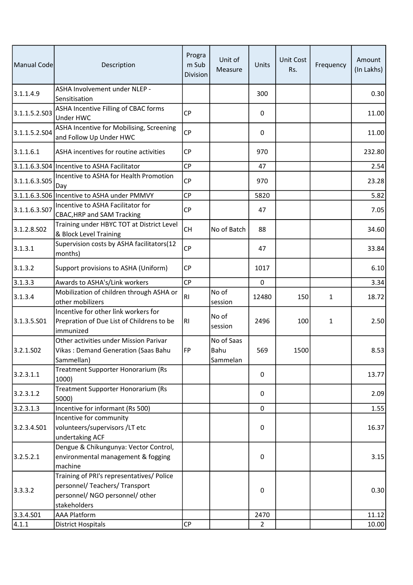| Manual Code           | Description                                                                                                                    | Progra<br>m Sub<br>Division | Unit of<br>Measure             | Units       | <b>Unit Cost</b><br>Rs. | Frequency    | Amount<br>(In Lakhs) |
|-----------------------|--------------------------------------------------------------------------------------------------------------------------------|-----------------------------|--------------------------------|-------------|-------------------------|--------------|----------------------|
| 3.1.1.4.9             | ASHA Involvement under NLEP -<br>Sensitisation                                                                                 |                             |                                | 300         |                         |              | 0.30                 |
| 3.1.1.5.2.503         | ASHA Incentive Filling of CBAC forms<br>Under HWC                                                                              | <b>CP</b>                   |                                | 0           |                         |              | 11.00                |
| 3.1.1.5.2.504         | ASHA Incentive for Mobilising, Screening<br>and Follow Up Under HWC                                                            | <b>CP</b>                   |                                | 0           |                         |              | 11.00                |
| 3.1.1.6.1             | ASHA incentives for routine activities                                                                                         | <b>CP</b>                   |                                | 970         |                         |              | 232.80               |
|                       | 3.1.1.6.3.S04 Incentive to ASHA Facilitator                                                                                    | <b>CP</b>                   |                                | 47          |                         |              | 2.54                 |
| 3.1.1.6.3.505         | Incentive to ASHA for Health Promotion<br>Day                                                                                  | <b>CP</b>                   |                                | 970         |                         |              | 23.28                |
|                       | 3.1.1.6.3.S06 Incentive to ASHA under PMMVY                                                                                    | <b>CP</b>                   |                                | 5820        |                         |              | 5.82                 |
| 3.1.1.6.3.507         | Incentive to ASHA Facilitator for<br><b>CBAC, HRP and SAM Tracking</b>                                                         | СP                          |                                | 47          |                         |              | 7.05                 |
| 3.1.2.8.SO2           | Training under HBYC TOT at District Level<br>& Block Level Training                                                            | <b>CH</b>                   | No of Batch                    | 88          |                         |              | 34.60                |
| 3.1.3.1               | Supervision costs by ASHA facilitators(12<br>months)                                                                           | <b>CP</b>                   |                                | 47          |                         |              | 33.84                |
| 3.1.3.2               | Support provisions to ASHA (Uniform)                                                                                           | <b>CP</b>                   |                                | 1017        |                         |              | 6.10                 |
| 3.1.3.3               | Awards to ASHA's/Link workers                                                                                                  | <b>CP</b>                   |                                | $\mathbf 0$ |                         |              | 3.34                 |
| 3.1.3.4               | Mobilization of children through ASHA or<br>other mobilizers                                                                   | R <sub>l</sub>              | No of<br>session               | 12480       | 150                     | $\mathbf{1}$ | 18.72                |
| 3.1.3.5.501           | Incentive for other link workers for<br>Prepration of Due List of Childrens to be<br>immunized                                 | R <sub>l</sub>              | No of<br>session               | 2496        | 100                     | $\mathbf{1}$ | 2.50                 |
| 3.2.1.SO <sub>2</sub> | Other activities under Mission Parivar<br>Vikas: Demand Generation (Saas Bahu<br>Sammellan)                                    | FP                          | No of Saas<br>Bahu<br>Sammelan | 569         | 1500                    |              | 8.53                 |
| 3.2.3.1.1             | Treatment Supporter Honorarium (Rs<br>1000)                                                                                    |                             |                                | 0           |                         |              | 13.77                |
| 3.2.3.1.2             | <b>Treatment Supporter Honorarium (Rs</b><br>5000)                                                                             |                             |                                | 0           |                         |              | 2.09                 |
| 3.2.3.1.3             | Incentive for informant (Rs 500)                                                                                               |                             |                                | $\mathbf 0$ |                         |              | 1.55                 |
| 3.2.3.4.501           | Incentive for community<br>volunteers/supervisors/LT etc<br>undertaking ACF                                                    |                             |                                | 0           |                         |              | 16.37                |
| 3.2.5.2.1             | Dengue & Chikungunya: Vector Control,<br>environmental management & fogging<br>machine                                         |                             |                                | $\mathsf 0$ |                         |              | 3.15                 |
| 3.3.3.2               | Training of PRI's representatives/ Police<br>personnel/ Teachers/ Transport<br>personnel/ NGO personnel/ other<br>stakeholders |                             |                                | 0           |                         |              | 0.30                 |
| 3.3.4.501             | <b>AAA Platform</b>                                                                                                            |                             |                                | 2470        |                         |              | 11.12                |
| 4.1.1                 | <b>District Hospitals</b>                                                                                                      | <b>CP</b>                   |                                | 2           |                         |              | 10.00                |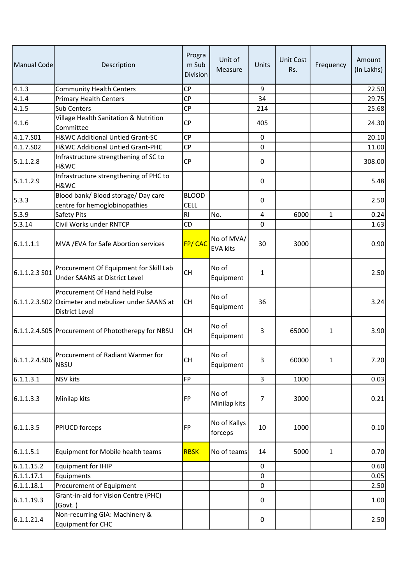| Manual Code    | Description                                                                                             | Progra<br>m Sub<br>Division | Unit of<br>Measure            | Units          | <b>Unit Cost</b><br>Rs. | Frequency    | Amount<br>(In Lakhs) |
|----------------|---------------------------------------------------------------------------------------------------------|-----------------------------|-------------------------------|----------------|-------------------------|--------------|----------------------|
| $\sqrt{4.1.3}$ | <b>Community Health Centers</b>                                                                         | <b>CP</b>                   |                               | 9              |                         |              | 22.50                |
| $\sqrt{4.1.4}$ | <b>Primary Health Centers</b>                                                                           | <b>CP</b>                   |                               | 34             |                         |              | 29.75                |
| 4.1.5          | Sub Centers                                                                                             | <b>CP</b>                   |                               | 214            |                         |              | 25.68                |
| 4.1.6          | Village Health Sanitation & Nutrition<br>Committee                                                      | <b>CP</b>                   |                               | 405            |                         |              | 24.30                |
| 4.1.7.501      | H&WC Additional Untied Grant-SC                                                                         | <b>CP</b>                   |                               | $\mathbf 0$    |                         |              | 20.10                |
| 4.1.7.502      | H&WC Additional Untied Grant-PHC                                                                        | <b>CP</b>                   |                               | $\mathbf 0$    |                         |              | 11.00                |
| 5.1.1.2.8      | Infrastructure strengthening of SC to<br>H&WC                                                           | <b>CP</b>                   |                               | 0              |                         |              | 308.00               |
| 5.1.1.2.9      | Infrastructure strengthening of PHC to<br>H&WC                                                          |                             |                               | 0              |                         |              | 5.48                 |
| 5.3.3          | Blood bank/ Blood storage/ Day care<br>centre for hemoglobinopathies                                    | <b>BLOOD</b><br><b>CELL</b> |                               | 0              |                         |              | 2.50                 |
| 5.3.9          | Safety Pits                                                                                             | <b>RI</b>                   | No.                           | $\overline{4}$ | 6000                    | $\mathbf{1}$ | 0.24                 |
| 5.3.14         | Civil Works under RNTCP                                                                                 | CD                          |                               | $\mathbf 0$    |                         |              | 1.63                 |
| 6.1.1.1.1      | MVA / EVA for Safe Abortion services                                                                    | FP/CAC                      | No of MVA/<br><b>EVA kits</b> | 30             | 3000                    |              | 0.90                 |
| 6.1.1.2.3 S01  | Procurement Of Equipment for Skill Lab<br>Under SAANS at District Level                                 | <b>CH</b>                   | No of<br>Equipment            | 1              |                         |              | 2.50                 |
|                | Procurement Of Hand held Pulse<br>6.1.1.2.3.S02 Oximeter and nebulizer under SAANS at<br>District Level | <b>CH</b>                   | No of<br>Equipment            | 36             |                         |              | 3.24                 |
|                | 6.1.1.2.4.S05 Procurement of Phototherepy for NBSU                                                      | <b>CH</b>                   | No of<br>Equipment            | 3              | 65000                   | $\mathbf{1}$ | 3.90                 |
| 6.1.1.2.4.506  | Procurement of Radiant Warmer for<br>NBSU                                                               | <b>CH</b>                   | No of<br>Equipment            | 3              | 60000                   | $\mathbf{1}$ | 7.20                 |
| 6.1.1.3.1      | NSV kits                                                                                                | <b>FP</b>                   |                               | $\overline{3}$ | 1000                    |              | 0.03                 |
| 6.1.1.3.3      | Minilap kits                                                                                            | FP                          | No of<br>Minilap kits         | $\overline{7}$ | 3000                    |              | 0.21                 |
| 6.1.1.3.5      | <b>PPIUCD</b> forceps                                                                                   | FP                          | No of Kallys<br>forceps       | 10             | 1000                    |              | 0.10                 |
| 6.1.1.5.1      | Equipment for Mobile health teams                                                                       | <b>RBSK</b>                 | No of teams                   | 14             | 5000                    | 1            | 0.70                 |
| 6.1.1.15.2     | Equipment for IHIP                                                                                      |                             |                               | $\pmb{0}$      |                         |              | 0.60                 |
| 6.1.1.17.1     | Equipments                                                                                              |                             |                               | 0              |                         |              | 0.05                 |
| 6.1.1.18.1     | Procurement of Equipment                                                                                |                             |                               | 0              |                         |              | 2.50                 |
| 6.1.1.19.3     | Grant-in-aid for Vision Centre (PHC)<br>(Govt.)                                                         |                             |                               | 0              |                         |              | 1.00                 |
| 6.1.1.21.4     | Non-recurring GIA: Machinery &<br><b>Equipment for CHC</b>                                              |                             |                               | 0              |                         |              | 2.50                 |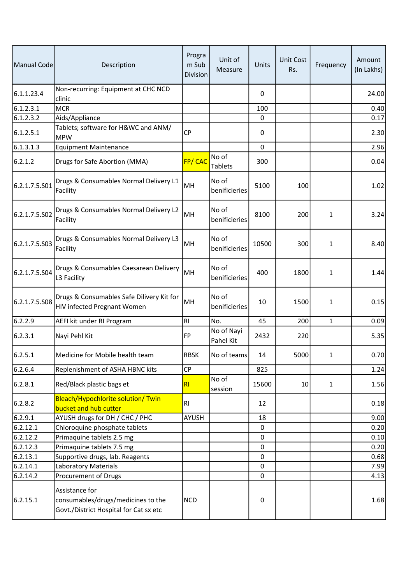| Manual Code   | Description                                                                                    | Progra<br>m Sub<br>Division | Unit of<br>Measure      | Units       | <b>Unit Cost</b><br>Rs. | Frequency    | Amount<br>(In Lakhs) |
|---------------|------------------------------------------------------------------------------------------------|-----------------------------|-------------------------|-------------|-------------------------|--------------|----------------------|
| 6.1.1.23.4    | Non-recurring: Equipment at CHC NCD<br>clinic                                                  |                             |                         | 0           |                         |              | 24.00                |
| 6.1.2.3.1     | <b>MCR</b>                                                                                     |                             |                         | 100         |                         |              | 0.40                 |
| 6.1.2.3.2     | Aids/Appliance                                                                                 |                             |                         | $\mathbf 0$ |                         |              | 0.17                 |
| 6.1.2.5.1     | Tablets; software for H&WC and ANM/<br><b>MPW</b>                                              | <b>CP</b>                   |                         | 0           |                         |              | 2.30                 |
| 6.1.3.1.3     | <b>Equipment Maintenance</b>                                                                   |                             |                         | $\mathbf 0$ |                         |              | 2.96                 |
| 6.2.1.2       | Drugs for Safe Abortion (MMA)                                                                  | FP/CAC                      | No of<br><b>Tablets</b> | 300         |                         |              | 0.04                 |
| 6.2.1.7.5.S01 | Drugs & Consumables Normal Delivery L1<br>Facility                                             | MH                          | No of<br>benificieries  | 5100        | 100                     |              | 1.02                 |
| 6.2.1.7.5.S02 | Drugs & Consumables Normal Delivery L2<br>Facility                                             | MH                          | No of<br>benificieries  | 8100        | 200                     | $\mathbf{1}$ | 3.24                 |
| 6.2.1.7.5.S03 | Drugs & Consumables Normal Delivery L3<br>Facility                                             | MH                          | No of<br>benificieries  | 10500       | 300                     | $\mathbf{1}$ | 8.40                 |
| 6.2.1.7.5.S04 | Drugs & Consumables Caesarean Delivery<br>L3 Facility                                          | MH                          | No of<br>benificieries  | 400         | 1800                    | $\mathbf{1}$ | 1.44                 |
| 6.2.1.7.5.S08 | Drugs & Consumables Safe Dilivery Kit for<br>HIV infected Pregnant Women                       | MH                          | No of<br>benificieries  | 10          | 1500                    | 1            | 0.15                 |
| 6.2.2.9       | AEFI kit under RI Program                                                                      | <b>RI</b>                   | No.                     | 45          | 200                     | $\mathbf{1}$ | 0.09                 |
| 6.2.3.1       | Nayi Pehl Kit                                                                                  | FP                          | No of Nayi<br>Pahel Kit | 2432        | 220                     |              | 5.35                 |
| 6.2.5.1       | Medicine for Mobile health team                                                                | <b>RBSK</b>                 | No of teams             | 14          | 5000                    | 1            | 0.70                 |
| 6.2.6.4       | Replenishment of ASHA HBNC kits                                                                | <b>CP</b>                   |                         | 825         |                         |              | 1.24                 |
| 6.2.8.1       | Red/Black plastic bags et                                                                      | RI                          | No of<br>session        | 15600       | 10                      | $\mathbf{1}$ | 1.56                 |
| 6.2.8.2       | Bleach/Hypochlorite solution/ Twin<br>bucket and hub cutter                                    | <b>RI</b>                   |                         | 12          |                         |              | 0.18                 |
| 6.2.9.1       | AYUSH drugs for DH / CHC / PHC                                                                 | <b>AYUSH</b>                |                         | 18          |                         |              | 9.00                 |
| 6.2.12.1      | Chloroquine phosphate tablets                                                                  |                             |                         | 0           |                         |              | 0.20                 |
| 6.2.12.2      | Primaquine tablets 2.5 mg                                                                      |                             |                         | 0           |                         |              | 0.10                 |
| 6.2.12.3      | Primaquine tablets 7.5 mg                                                                      |                             |                         | $\pmb{0}$   |                         |              | 0.20                 |
| 6.2.13.1      | Supportive drugs, lab. Reagents                                                                |                             |                         | 0           |                         |              | 0.68                 |
| 6.2.14.1      | <b>Laboratory Materials</b>                                                                    |                             |                         | 0           |                         |              | 7.99                 |
| 6.2.14.2      | Procurement of Drugs                                                                           |                             |                         | 0           |                         |              | 4.13                 |
| 6.2.15.1      | Assistance for<br>consumables/drugs/medicines to the<br>Govt./District Hospital for Cat sx etc | <b>NCD</b>                  |                         | 0           |                         |              | 1.68                 |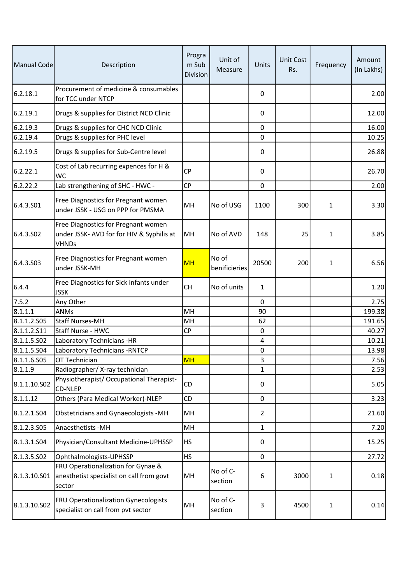| Manual Code           | Description                                                                                      | Progra<br>m Sub<br>Division | Unit of<br>Measure     | Units                   | <b>Unit Cost</b><br>Rs. | Frequency    | Amount<br>(In Lakhs) |
|-----------------------|--------------------------------------------------------------------------------------------------|-----------------------------|------------------------|-------------------------|-------------------------|--------------|----------------------|
| 6.2.18.1              | Procurement of medicine & consumables<br>for TCC under NTCP                                      |                             |                        | 0                       |                         |              | 2.00                 |
| 6.2.19.1              | Drugs & supplies for District NCD Clinic                                                         |                             |                        | $\pmb{0}$               |                         |              | 12.00                |
| 6.2.19.3              | Drugs & supplies for CHC NCD Clinic                                                              |                             |                        | $\mathbf 0$             |                         |              | 16.00                |
| 6.2.19.4              | Drugs & supplies for PHC level                                                                   |                             |                        | 0                       |                         |              | 10.25                |
| 6.2.19.5              | Drugs & supplies for Sub-Centre level                                                            |                             |                        | 0                       |                         |              | 26.88                |
| 6.2.22.1              | Cost of Lab recurring expences for H &<br>WС                                                     | <b>CP</b>                   |                        | $\pmb{0}$               |                         |              | 26.70                |
| 6.2.22.2              | Lab strengthening of SHC - HWC -                                                                 | <b>CP</b>                   |                        | $\mathbf 0$             |                         |              | 2.00                 |
| 6.4.3.S01             | Free Diagnostics for Pregnant women<br>under JSSK - USG on PPP for PMSMA                         | MH                          | No of USG              | 1100                    | 300                     | $\mathbf{1}$ | 3.30                 |
| 6.4.3.SO <sub>2</sub> | Free Diagnostics for Pregnant women<br>under JSSK- AVD for for HIV & Syphilis at<br><b>VHNDs</b> | MH                          | No of AVD              | 148                     | 25                      | $\mathbf{1}$ | 3.85                 |
| 6.4.3.503             | Free Diagnostics for Pregnant women<br>under JSSK-MH                                             | <b>MH</b>                   | No of<br>benificieries | 20500                   | 200                     | $\mathbf{1}$ | 6.56                 |
| 6.4.4                 | Free Diagnostics for Sick infants under<br><b>JSSK</b>                                           | <b>CH</b>                   | No of units            | $\mathbf{1}$            |                         |              | 1.20                 |
| 7.5.2                 | Any Other                                                                                        |                             |                        | $\mathbf 0$             |                         |              | 2.75                 |
| 8.1.1.1               | <b>ANMs</b>                                                                                      | MH                          |                        | 90                      |                         |              | 199.38               |
| 8.1.1.2.505           | <b>Staff Nurses-MH</b>                                                                           | MH                          |                        | 62                      |                         |              | 191.65               |
| 8.1.1.2.511           | Staff Nurse - HWC                                                                                | <b>CP</b>                   |                        | $\pmb{0}$               |                         |              | 40.27                |
| 8.1.1.5.S02           | Laboratory Technicians -HR                                                                       |                             |                        | $\overline{\mathbf{4}}$ |                         |              | 10.21                |
| 8.1.1.5.504           | Laboratory Technicians - RNTCP                                                                   |                             |                        | $\pmb{0}$               |                         |              | 13.98                |
| 8.1.1.6.505           | OT Technician                                                                                    | <b>MH</b>                   |                        | 3                       |                         |              | 7.56                 |
| 8.1.1.9               | Radiographer/X-ray technician                                                                    |                             |                        | $\mathbf{1}$            |                         |              | 2.53                 |
| 8.1.1.10.S02          | Physiotherapist/ Occupational Therapist-<br>CD-NLEP                                              | CD                          |                        | 0                       |                         |              | 5.05                 |
| 8.1.1.12              | Others (Para Medical Worker)-NLEP                                                                | CD                          |                        | 0                       |                         |              | 3.23                 |
| 8.1.2.1.504           | <b>Obstetricians and Gynaecologists -MH</b>                                                      | MH                          |                        | 2                       |                         |              | 21.60                |
| 8.1.2.3.505           | Anaesthetists - MH                                                                               | MH                          |                        | $\mathbf{1}$            |                         |              | 7.20                 |
| 8.1.3.1.504           | Physician/Consultant Medicine-UPHSSP                                                             | <b>HS</b>                   |                        | $\pmb{0}$               |                         |              | 15.25                |
| 8.1.3.5.502           | Ophthalmologists-UPHSSP                                                                          | <b>HS</b>                   |                        | 0                       |                         |              | 27.72                |
| 8.1.3.10.501          | FRU Operationalization for Gynae &<br>anesthetist specialist on call from govt<br>sector         | MH                          | No of C-<br>section    | 6                       | 3000                    | $\mathbf{1}$ | 0.18                 |
| 8.1.3.10.S02          | FRU Operationalization Gynecologists<br>specialist on call from pvt sector                       | MH                          | No of C-<br>section    | 3                       | 4500                    | $\mathbf{1}$ | 0.14                 |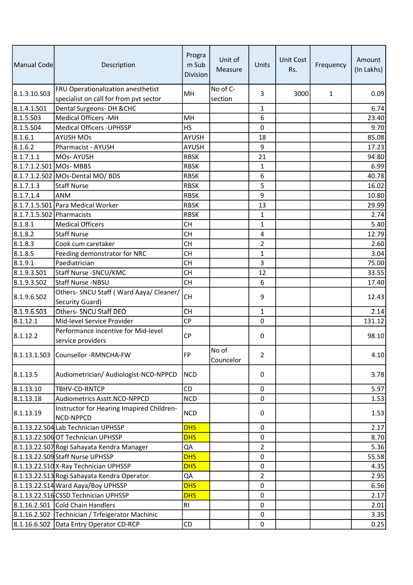| Manual Code               | Description                                                                  | Progra<br>m Sub<br>Division | Unit of<br>Measure  | Units          | Unit Cost<br>Rs. | Frequency    | Amount<br>(In Lakhs) |
|---------------------------|------------------------------------------------------------------------------|-----------------------------|---------------------|----------------|------------------|--------------|----------------------|
| 8.1.3.10.503              | FRU Operationalization anesthetist<br>specialist on call for from pvt sector | MH                          | No of C-<br>section | 3              | 3000             | $\mathbf{1}$ | 0.09                 |
| 8.1.4.1.S01               | Dental Surgeons- DH & CHC                                                    |                             |                     | 1              |                  |              | 6.74                 |
| 8.1.5.503                 | <b>Medical Officers -MH</b>                                                  | MH                          |                     | 6              |                  |              | 23.40                |
| 8.1.5.504                 | Medical Officers - UPHSSP                                                    | <b>HS</b>                   |                     | $\mathbf 0$    |                  |              | 9.70                 |
| 8.1.6.1                   | <b>AYUSH MOs</b>                                                             | AYUSH                       |                     | 18             |                  |              | 85.08                |
| 8.1.6.2                   | Pharmacist - AYUSH                                                           | <b>AYUSH</b>                |                     | 9              |                  |              | 17.23                |
| 8.1.7.1.1                 | MOs-AYUSH                                                                    | <b>RBSK</b>                 |                     | 21             |                  |              | 94.80                |
| 8.1.7.1.2.S01 MOs- MBBS   |                                                                              | <b>RBSK</b>                 |                     | $\mathbf{1}$   |                  |              | 6.99                 |
|                           | 8.1.7.1.2.S02 MOs-Dental MO/ BDS                                             | <b>RBSK</b>                 |                     | 6              |                  |              | 40.78                |
| 8.1.7.1.3                 | Staff Nurse                                                                  | <b>RBSK</b>                 |                     | 5              |                  |              | 16.02                |
| 8.1.7.1.4                 | ANM                                                                          | <b>RBSK</b>                 |                     | 9              |                  |              | 10.80                |
|                           | 8.1.7.1.5.S01 Para Medical Worker                                            | <b>RBSK</b>                 |                     | 13             |                  |              | 29.99                |
| 8.1.7.1.5.S02 Pharmacists |                                                                              | <b>RBSK</b>                 |                     | 1              |                  |              | 2.74                 |
| 8.1.8.1                   | <b>Medical Officers</b>                                                      | <b>CH</b>                   |                     | 1              |                  |              | 5.40                 |
| 8.1.8.2                   | <b>Staff Nurse</b>                                                           | <b>CH</b>                   |                     | 4              |                  |              | 12.79                |
| 8.1.8.3                   | Cook cum caretaker                                                           | СH                          |                     | $\overline{2}$ |                  |              | 2.60                 |
| 8.1.8.5                   | Feeding demonstrator for NRC                                                 | <b>CH</b>                   |                     | $\mathbf{1}$   |                  |              | 3.04                 |
| 8.1.9.1                   | Paediatrician                                                                | <b>CH</b>                   |                     | 3              |                  |              | 75.00                |
| 8.1.9.3.501               | Staff Nurse - SNCU/KMC                                                       | СH                          |                     | 12             |                  |              | 33.55                |
| 8.1.9.3.502               | Staff Nurse -NBSU                                                            | <b>CH</b>                   |                     | 6              |                  |              | 17.40                |
| 8.1.9.6.502               | Others- SNCU Staff (Ward Aaya/ Cleaner/<br>Security Guard)                   | <b>CH</b>                   |                     | 9              |                  |              | 12.43                |
| 8.1.9.6.503               | Others- SNCU Staff DEO                                                       | CH                          |                     | $\mathbf 1$    |                  |              | 2.14                 |
| 8.1.12.1                  | Mid-level Service Provider                                                   | <b>CP</b>                   |                     | 0              |                  |              | 131.12               |
| 8.1.12.2                  | Performance incentive for Mid-level<br>service providers                     | <b>CP</b>                   |                     | 0              |                  |              | 98.10                |
|                           | 8.1.13.1.S03 Counsellor -RMNCHA-FW                                           | <b>FP</b>                   | No of<br>Councelor  | 2              |                  |              | 4.10                 |
| 8.1.13.5                  | Audiometrician/ Audiologist-NCD-NPPCD                                        | <b>NCD</b>                  |                     | $\pmb{0}$      |                  |              | 3.78                 |
| 8.1.13.10                 | TBHV-CD-RNTCP                                                                | CD                          |                     | $\pmb{0}$      |                  |              | 5.97                 |
| 8.1.13.18                 | Audiometrics Asstt.NCD-NPPCD                                                 | <b>NCD</b>                  |                     | 0              |                  |              | 1.53                 |
| 8.1.13.19                 | Instructor for Hearing Imapired Children-<br>NCD-NPPCD                       | <b>NCD</b>                  |                     | 0              |                  |              | 1.53                 |
|                           | 8.1.13.22.S04 Lab Technician UPHSSP                                          | <b>DHS</b>                  |                     | 0              |                  |              | 2.17                 |
|                           | 8.1.13.22.S06 OT Technician UPHSSP                                           | <b>DHS</b>                  |                     | $\pmb{0}$      |                  |              | 8.70                 |
|                           | 8.1.13.22.S07 Rogi Sahayata Kendra Manager                                   | QA                          |                     | $\overline{2}$ |                  |              | 5.36                 |
|                           | 8.1.13.22.S09 Staff Nurse UPHSSP                                             | <b>DHS</b>                  |                     | 0              |                  |              | 55.58                |
|                           | 8.1.13.22.S10 X-Ray Technician UPHSSP                                        | <b>DHS</b>                  |                     | 0              |                  |              | 4.35                 |
|                           | 8.1.13.22.S13 Rogi Sahayata Kendra Operator                                  | QA                          |                     | 2              |                  |              | 2.95                 |
|                           | 8.1.13.22.S14 Ward Aaya/Boy UPHSSP                                           | <b>DHS</b>                  |                     | 0              |                  |              | 6.56                 |
|                           | 8.1.13.22.S16 CSSD Technician UPHSSP                                         | <b>DHS</b>                  |                     | 0              |                  |              | 2.17                 |
|                           | 8.1.16.2.S01 Cold Chain Handlers                                             | R <sub>l</sub>              |                     | 0              |                  |              | 2.01                 |
|                           | 8.1.16.2.S02 Technician / Trfeigerator Machinic                              |                             |                     | 0              |                  |              | 3.35                 |
|                           | 8.1.16.6.S02 Data Entry Operator CD-RCP                                      | CD                          |                     | $\pmb{0}$      |                  |              | 0.25                 |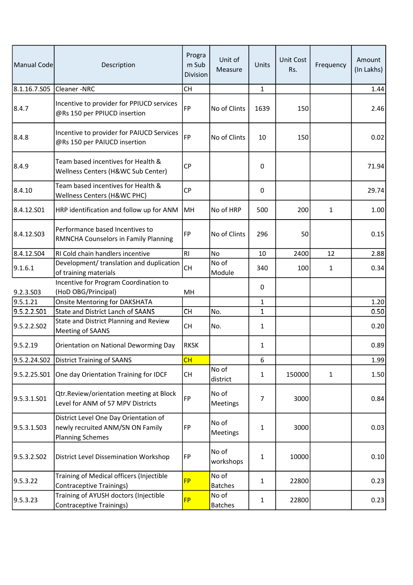| Manual Code  | Description                                                                                          | Progra<br>m Sub<br>Division | Unit of<br>Measure      | <b>Units</b> | <b>Unit Cost</b><br>Rs. | Frequency    | Amount<br>(In Lakhs) |
|--------------|------------------------------------------------------------------------------------------------------|-----------------------------|-------------------------|--------------|-------------------------|--------------|----------------------|
| 8.1.16.7.S05 | Cleaner-NRC                                                                                          | <b>CH</b>                   |                         | $\mathbf{1}$ |                         |              | 1.44                 |
| 8.4.7        | Incentive to provider for PPIUCD services<br>@Rs 150 per PPIUCD insertion                            | <b>FP</b>                   | No of Clints            | 1639         | 150                     |              | 2.46                 |
| 8.4.8        | Incentive to provider for PAIUCD Services<br>@Rs 150 per PAIUCD insertion                            | <b>FP</b>                   | No of Clints            | 10           | 150                     |              | 0.02                 |
| 8.4.9        | Team based incentives for Health &<br>Wellness Centers (H&WC Sub Center)                             | <b>CP</b>                   |                         | 0            |                         |              | 71.94                |
| 8.4.10       | Team based incentives for Health &<br>Wellness Centers (H&WC PHC)                                    | CP                          |                         | 0            |                         |              | 29.74                |
| 8.4.12.501   | HRP identification and follow up for ANM                                                             | MH                          | No of HRP               | 500          | 200                     | 1            | 1.00                 |
| 8.4.12.S03   | Performance based Incentives to<br>RMNCHA Counselors in Family Planning                              | <b>FP</b>                   | No of Clints            | 296          | 50                      |              | 0.15                 |
| 8.4.12.504   | RI Cold chain handlers incentive                                                                     | R <sub>l</sub>              | No                      | 10           | 2400                    | 12           | 2.88                 |
| 9.1.6.1      | Development/ translation and duplication<br>of training materials                                    | СH                          | No of<br>Module         | 340          | 100                     | 1            | 0.34                 |
| 9.2.3.S03    | Incentive for Program Coordination to<br>(HoD OBG/Principal)                                         | MН                          |                         | 0            |                         |              |                      |
| 9.5.1.21     | <b>Onsite Mentoring for DAKSHATA</b>                                                                 |                             |                         | 1            |                         |              | 1.20                 |
| 9.5.2.2.S01  | State and District Lanch of SAANS                                                                    | CH                          | No.                     | 1            |                         |              | 0.50                 |
| 9.5.2.2.S02  | State and District Planning and Review<br>Meeting of SAANS                                           | <b>CH</b>                   | No.                     | 1            |                         |              | 0.20                 |
| 9.5.2.19     | Orientation on National Deworming Day                                                                | <b>RKSK</b>                 |                         | 1            |                         |              | 0.89                 |
| 9.5.2.24.S02 | District Training of SAANS                                                                           | CH                          |                         | 6            |                         |              | 1.99                 |
| 9.5.2.25.S01 | One day Orientation Training for IDCF                                                                | CH                          | No of<br>district       | 1            | 150000                  | $\mathbf{1}$ | 1.50                 |
| 9.5.3.1.S01  | Qtr.Review/orientation meeting at Block<br>Level for ANM of 57 MPV Districts                         | FP                          | No of<br>Meetings       | 7            | 3000                    |              | 0.84                 |
| 9.5.3.1.S03  | District Level One Day Orientation of<br>newly recruited ANM/SN ON Family<br><b>Planning Schemes</b> | FP                          | No of<br>Meetings       | $\mathbf{1}$ | 3000                    |              | 0.03                 |
| 9.5.3.2.SO2  | District Level Dissemination Workshop                                                                | FP                          | No of<br>workshops      | $\mathbf{1}$ | 10000                   |              | 0.10                 |
| 9.5.3.22     | Training of Medical officers (Injectible<br><b>Contraceptive Trainings)</b>                          | <b>FP</b>                   | No of<br><b>Batches</b> | 1            | 22800                   |              | 0.23                 |
| 9.5.3.23     | Training of AYUSH doctors (Injectible<br><b>Contraceptive Trainings)</b>                             | <b>FP</b>                   | No of<br><b>Batches</b> | 1            | 22800                   |              | 0.23                 |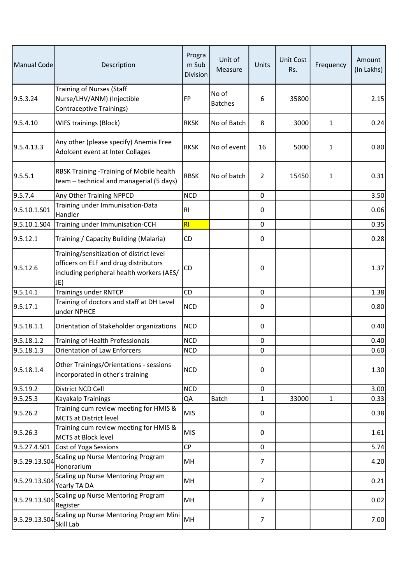| Manual Code   | Description                                                                                                                           | Progra<br>m Sub<br>Division | Unit of<br>Measure      | Units          | <b>Unit Cost</b><br>Rs. | Frequency    | Amount<br>(In Lakhs) |
|---------------|---------------------------------------------------------------------------------------------------------------------------------------|-----------------------------|-------------------------|----------------|-------------------------|--------------|----------------------|
| 9.5.3.24      | <b>Training of Nurses (Staff</b><br>Nurse/LHV/ANM) (Injectible<br><b>Contraceptive Trainings)</b>                                     | <b>FP</b>                   | No of<br><b>Batches</b> | 6              | 35800                   |              | 2.15                 |
| 9.5.4.10      | WIFS trainings (Block)                                                                                                                | <b>RKSK</b>                 | No of Batch             | 8              | 3000                    | 1            | 0.24                 |
| 9.5.4.13.3    | Any other (please specify) Anemia Free<br>Adolcent event at Inter Collages                                                            | <b>RKSK</b>                 | No of event             | 16             | 5000                    | 1            | 0.80                 |
| 9.5.5.1       | RBSK Training - Training of Mobile health<br>team - technical and managerial (5 days)                                                 | <b>RBSK</b>                 | No of batch             | $\overline{2}$ | 15450                   | $\mathbf 1$  | 0.31                 |
| 9.5.7.4       | Any Other Training NPPCD                                                                                                              | <b>NCD</b>                  |                         | $\mathbf 0$    |                         |              | 3.50                 |
| 9.5.10.1.S01  | Training under Immunisation-Data<br>Handler                                                                                           | R <sub>l</sub>              |                         | $\pmb{0}$      |                         |              | 0.06                 |
| 9.5.10.1.S04  | Training under Immunisation-CCH                                                                                                       | RI                          |                         | $\mathsf 0$    |                         |              | 0.35                 |
| 9.5.12.1      | Training / Capacity Building (Malaria)                                                                                                | CD                          |                         | 0              |                         |              | 0.28                 |
| 9.5.12.6      | Training/sensitization of district level<br>officers on ELF and drug distributors<br>including peripheral health workers (AES/<br>JE) | CD                          |                         | 0              |                         |              | 1.37                 |
| 9.5.14.1      | <b>Trainings under RNTCP</b>                                                                                                          | CD                          |                         | $\mathsf 0$    |                         |              | 1.38                 |
| 9.5.17.1      | Training of doctors and staff at DH Level<br>under NPHCE                                                                              | <b>NCD</b>                  |                         | 0              |                         |              | 0.80                 |
| 9.5.18.1.1    | Orientation of Stakeholder organizations                                                                                              | <b>NCD</b>                  |                         | $\mathsf 0$    |                         |              | 0.40                 |
| 9.5.18.1.2    | Training of Health Professionals                                                                                                      | <b>NCD</b>                  |                         | $\pmb{0}$      |                         |              | 0.40                 |
| 9.5.18.1.3    | <b>Orientation of Law Enforcers</b>                                                                                                   | <b>NCD</b>                  |                         | 0              |                         |              | 0.60                 |
| 9.5.18.1.4    | Other Trainings/Orientations - sessions<br>incorporated in other's training                                                           | <b>NCD</b>                  |                         | 0              |                         |              | 1.30                 |
| 9.5.19.2      | District NCD Cell                                                                                                                     | <b>NCD</b>                  |                         | 0              |                         |              | 3.00                 |
| 9.5.25.3      | Kayakalp Trainings                                                                                                                    | QA                          | Batch                   | $\mathbf{1}$   | 33000                   | $\mathbf{1}$ | 0.33                 |
| 9.5.26.2      | Training cum review meeting for HMIS &<br><b>MCTS at District level</b>                                                               | <b>MIS</b>                  |                         | $\mathbf 0$    |                         |              | 0.38                 |
| 9.5.26.3      | Training cum review meeting for HMIS &<br>MCTS at Block level                                                                         | <b>MIS</b>                  |                         | 0              |                         |              | 1.61                 |
| 9.5.27.4.S01  | Cost of Yoga Sessions                                                                                                                 | <b>CP</b>                   |                         | $\pmb{0}$      |                         |              | 5.74                 |
| 9.5.29.13.S04 | Scaling up Nurse Mentoring Program<br>Honorarium                                                                                      | MH                          |                         | 7              |                         |              | 4.20                 |
| 9.5.29.13.S04 | Scaling up Nurse Mentoring Program<br>Yearly TA DA                                                                                    | MH                          |                         | $\overline{7}$ |                         |              | 0.21                 |
| 9.5.29.13.S04 | Scaling up Nurse Mentoring Program<br>Register                                                                                        | MH                          |                         | 7              |                         |              | 0.02                 |
| 9.5.29.13.S04 | Scaling up Nurse Mentoring Program Mini<br>Skill Lab                                                                                  | MH                          |                         | $\overline{7}$ |                         |              | 7.00                 |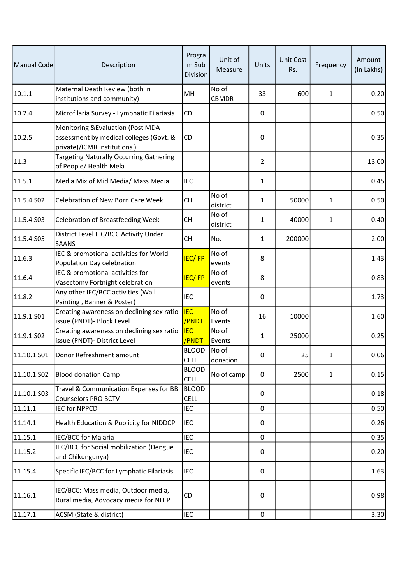| Manual Code | Description                                                                                                 | Progra<br>m Sub<br>Division | Unit of<br>Measure    | Units          | <b>Unit Cost</b><br>Rs. | Frequency    | Amount<br>(In Lakhs) |
|-------------|-------------------------------------------------------------------------------------------------------------|-----------------------------|-----------------------|----------------|-------------------------|--------------|----------------------|
| 10.1.1      | Maternal Death Review (both in<br>institutions and community)                                               | MН                          | No of<br><b>CBMDR</b> | 33             | 600                     | $\mathbf{1}$ | 0.20                 |
| 10.2.4      | Microfilaria Survey - Lymphatic Filariasis                                                                  | CD                          |                       | 0              |                         |              | 0.50                 |
| 10.2.5      | Monitoring & Evaluation (Post MDA<br>assessment by medical colleges (Govt. &<br>private)/ICMR institutions) | CD                          |                       | 0              |                         |              | 0.35                 |
| 11.3        | <b>Targeting Naturally Occurring Gathering</b><br>of People/Health Mela                                     |                             |                       | $\overline{2}$ |                         |              | 13.00                |
| 11.5.1      | Media Mix of Mid Media/ Mass Media                                                                          | <b>IEC</b>                  |                       | $\mathbf{1}$   |                         |              | 0.45                 |
| 11.5.4.S02  | Celebration of New Born Care Week                                                                           | <b>CH</b>                   | No of<br>district     | $\mathbf{1}$   | 50000                   | $\mathbf{1}$ | 0.50                 |
| 11.5.4.S03  | <b>Celebration of Breastfeeding Week</b>                                                                    | <b>CH</b>                   | No of<br>district     | $\mathbf{1}$   | 40000                   | $\mathbf{1}$ | 0.40                 |
| 11.5.4.S05  | District Level IEC/BCC Activity Under<br><b>SAANS</b>                                                       | <b>CH</b>                   | No.                   | $\mathbf{1}$   | 200000                  |              | 2.00                 |
| 11.6.3      | IEC & promotional activities for World<br>Population Day celebration                                        | <b>IEC/FP</b>               | No of<br>events       | 8              |                         |              | 1.43                 |
| 11.6.4      | IEC & promotional activities for<br>Vasectomy Fortnight celebration                                         | <b>IEC/FP</b>               | No of<br>events       | 8              |                         |              | 0.83                 |
| 11.8.2      | Any other IEC/BCC activities (Wall<br>Painting, Banner & Poster)                                            | <b>IEC</b>                  |                       | 0              |                         |              | 1.73                 |
| 11.9.1.S01  | Creating awareness on declining sex ratio<br>issue (PNDT)- Block Level                                      | <b>IEC</b><br>/PNDT         | No of<br>Events       | 16             | 10000                   |              | 1.60                 |
| 11.9.1.S02  | Creating awareness on declining sex ratio<br>issue (PNDT)- District Level                                   | <b>IEC</b><br>/PNDT         | No of<br>Events       | $\mathbf{1}$   | 25000                   |              | 0.25                 |
|             | 11.10.1.S01   Donor Refreshment amount                                                                      | <b>BLOOD</b><br><b>CELL</b> | No of<br>donation     | 0              | 25                      | 1            | 0.06                 |
| 11.10.1.502 | <b>Blood donation Camp</b>                                                                                  | <b>BLOOD</b><br><b>CELL</b> | No of camp            | 0              | 2500                    | $\mathbf{1}$ | 0.15                 |
| 11.10.1.503 | Travel & Communication Expenses for BB<br><b>Counselors PRO BCTV</b>                                        | <b>BLOOD</b><br><b>CELL</b> |                       | 0              |                         |              | 0.18                 |
| 11.11.1     | <b>IEC for NPPCD</b>                                                                                        | <b>IEC</b>                  |                       | 0              |                         |              | 0.50                 |
| 11.14.1     | Health Education & Publicity for NIDDCP                                                                     | <b>IEC</b>                  |                       | 0              |                         |              | 0.26                 |
| 11.15.1     | <b>IEC/BCC for Malaria</b>                                                                                  | <b>IEC</b>                  |                       | 0              |                         |              | 0.35                 |
| 11.15.2     | IEC/BCC for Social mobilization (Dengue<br>and Chikungunya)                                                 | <b>IEC</b>                  |                       | 0              |                         |              | 0.20                 |
| 11.15.4     | Specific IEC/BCC for Lymphatic Filariasis                                                                   | <b>IEC</b>                  |                       | 0              |                         |              | 1.63                 |
| 11.16.1     | IEC/BCC: Mass media, Outdoor media,<br>Rural media, Advocacy media for NLEP                                 | CD                          |                       | 0              |                         |              | 0.98                 |
| 11.17.1     | ACSM (State & district)                                                                                     | <b>IEC</b>                  |                       | $\pmb{0}$      |                         |              | 3.30                 |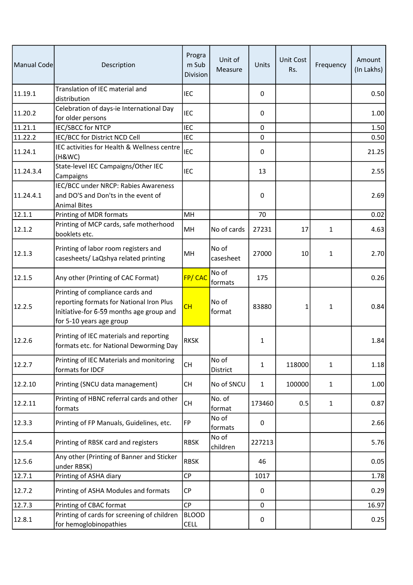| Manual Code | Description                                                                                                                                          | Progra<br>m Sub<br>Division | Unit of<br>Measure | Units        | Unit Cost<br>Rs. | Frequency    | Amount<br>(In Lakhs) |
|-------------|------------------------------------------------------------------------------------------------------------------------------------------------------|-----------------------------|--------------------|--------------|------------------|--------------|----------------------|
| 11.19.1     | Translation of IEC material and<br>distribution                                                                                                      | <b>IEC</b>                  |                    | $\Omega$     |                  |              | 0.50                 |
| 11.20.2     | Celebration of days-ie International Day<br>for older persons                                                                                        | <b>IEC</b>                  |                    | 0            |                  |              | 1.00                 |
| 11.21.1     | <b>IEC/SBCC for NTCP</b>                                                                                                                             | <b>IEC</b>                  |                    | $\mathbf 0$  |                  |              | 1.50                 |
| 11.22.2     | IEC/BCC for District NCD Cell                                                                                                                        | <b>IEC</b>                  |                    | 0            |                  |              | 0.50                 |
| 11.24.1     | IEC activities for Health & Wellness centre<br>(H&WC)                                                                                                | <b>IEC</b>                  |                    | 0            |                  |              | 21.25                |
| 11.24.3.4   | State-level IEC Campaigns/Other IEC<br>Campaigns                                                                                                     | <b>IEC</b>                  |                    | 13           |                  |              | 2.55                 |
| 11.24.4.1   | IEC/BCC under NRCP: Rabies Awareness<br>and DO'S and Don'ts in the event of<br><b>Animal Bites</b>                                                   |                             |                    | 0            |                  |              | 2.69                 |
| 12.1.1      | Printing of MDR formats                                                                                                                              | MH                          |                    | 70           |                  |              | 0.02                 |
| 12.1.2      | Printing of MCP cards, safe motherhood<br>booklets etc.                                                                                              | MH                          | No of cards        | 27231        | 17               | $\mathbf{1}$ | 4.63                 |
| 12.1.3      | Printing of labor room registers and<br>casesheets/ LaQshya related printing                                                                         | MH                          | No of<br>casesheet | 27000        | 10               | $\mathbf{1}$ | 2.70                 |
| 12.1.5      | Any other (Printing of CAC Format)                                                                                                                   | FP/CAC                      | No of<br>formats   | 175          |                  |              | 0.26                 |
| 12.2.5      | Printing of compliance cards and<br>reporting formats for National Iron Plus<br>Initiative-for 6-59 months age group and<br>for 5-10 years age group | CH                          | No of<br>format    | 83880        | 1                | $\mathbf{1}$ | 0.84                 |
| 12.2.6      | Printing of IEC materials and reporting<br>formats etc. for National Deworming Day                                                                   | <b>RKSK</b>                 |                    | $\mathbf{1}$ |                  |              | 1.84                 |
| 12.2.7      | Printing of IEC Materials and monitoring<br>formats for IDCF                                                                                         | <b>CH</b>                   | No of<br>District  | $\mathbf{1}$ | 118000           | $\mathbf{1}$ | 1.18                 |
| 12.2.10     | Printing (SNCU data management)                                                                                                                      | <b>CH</b>                   | No of SNCU         | $\mathbf{1}$ | 100000           | $\mathbf{1}$ | 1.00                 |
| 12.2.11     | Printing of HBNC referral cards and other<br>formats                                                                                                 | <b>CH</b>                   | No. of<br>format   | 173460       | 0.5              | $\mathbf{1}$ | 0.87                 |
| 12.3.3      | Printing of FP Manuals, Guidelines, etc.                                                                                                             | <b>FP</b>                   | No of<br>formats   | 0            |                  |              | 2.66                 |
| 12.5.4      | Printing of RBSK card and registers                                                                                                                  | <b>RBSK</b>                 | No of<br>children  | 227213       |                  |              | 5.76                 |
| 12.5.6      | Any other (Printing of Banner and Sticker<br>under RBSK)                                                                                             | <b>RBSK</b>                 |                    | 46           |                  |              | 0.05                 |
| 12.7.1      | Printing of ASHA diary                                                                                                                               | CP                          |                    | 1017         |                  |              | 1.78                 |
| 12.7.2      | Printing of ASHA Modules and formats                                                                                                                 | <b>CP</b>                   |                    | 0            |                  |              | 0.29                 |
| 12.7.3      | Printing of CBAC format                                                                                                                              | <b>CP</b>                   |                    | 0            |                  |              | 16.97                |
| 12.8.1      | Printing of cards for screening of children<br>for hemoglobinopathies                                                                                | <b>BLOOD</b><br><b>CELL</b> |                    | 0            |                  |              | 0.25                 |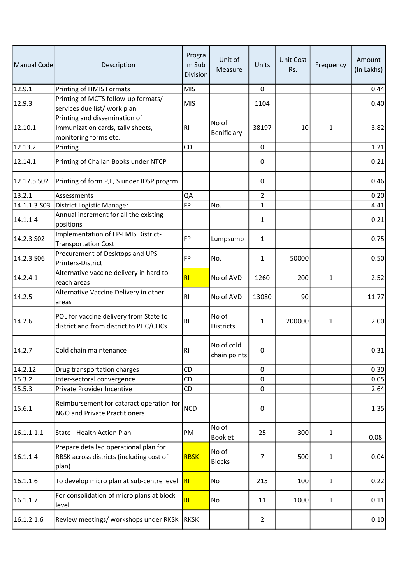| Manual Code  | Description                                                                                 | Progra<br>m Sub<br>Division | Unit of<br>Measure         | Units          | <b>Unit Cost</b><br>Rs. | Frequency    | Amount<br>(In Lakhs) |
|--------------|---------------------------------------------------------------------------------------------|-----------------------------|----------------------------|----------------|-------------------------|--------------|----------------------|
| 12.9.1       | Printing of HMIS Formats                                                                    | <b>MIS</b>                  |                            | $\mathbf 0$    |                         |              | 0.44                 |
| 12.9.3       | Printing of MCTS follow-up formats/<br>services due list/ work plan                         | <b>MIS</b>                  |                            | 1104           |                         |              | 0.40                 |
| 12.10.1      | Printing and dissemination of<br>Immunization cards, tally sheets,<br>monitoring forms etc. | R <sub>l</sub>              | No of<br>Benificiary       | 38197          | 10                      | 1            | 3.82                 |
| 12.13.2      | Printing                                                                                    | CD                          |                            | $\mathbf 0$    |                         |              | 1.21                 |
| 12.14.1      | Printing of Challan Books under NTCP                                                        |                             |                            | 0              |                         |              | 0.21                 |
| 12.17.5.502  | Printing of form P,L, S under IDSP progrm                                                   |                             |                            | 0              |                         |              | 0.46                 |
| 13.2.1       | Assessments                                                                                 | QA                          |                            | $\overline{2}$ |                         |              | 0.20                 |
| 14.1.1.3.503 | District Logistic Manager                                                                   | <b>FP</b>                   | No.                        | 1              |                         |              | 4.41                 |
| 14.1.1.4     | Annual increment for all the existing<br>positions                                          |                             |                            | 1              |                         |              | 0.21                 |
| 14.2.3.502   | Implementation of FP-LMIS District-<br>Transportation Cost                                  | <b>FP</b>                   | Lumpsump                   | 1              |                         |              | 0.75                 |
| 14.2.3.506   | Procurement of Desktops and UPS<br>Printers-District                                        | FP                          | No.                        | $\mathbf{1}$   | 50000                   |              | 0.50                 |
| 14.2.4.1     | Alternative vaccine delivery in hard to<br>reach areas                                      | RI                          | No of AVD                  | 1260           | 200                     | $\mathbf{1}$ | 2.52                 |
| 14.2.5       | Alternative Vaccine Delivery in other<br>areas                                              | R <sub>l</sub>              | No of AVD                  | 13080          | 90                      |              | 11.77                |
| 14.2.6       | POL for vaccine delivery from State to<br>district and from district to PHC/CHCs            | <b>RI</b>                   | No of<br><b>Districts</b>  | 1              | 200000                  | $\mathbf{1}$ | 2.00                 |
| 14.2.7       | Cold chain maintenance                                                                      | R <sub>1</sub>              | No of cold<br>chain points | $\pmb{0}$      |                         |              | 0.31                 |
| 14.2.12      | Drug transportation charges                                                                 | CD                          |                            | $\mathbf 0$    |                         |              | 0.30                 |
| 15.3.2       | Inter-sectoral convergence                                                                  | CD                          |                            | 0              |                         |              | 0.05                 |
| 15.5.3       | Private Provider Incentive                                                                  | CD                          |                            | $\mathbf 0$    |                         |              | 2.64                 |
| 15.6.1       | Reimbursement for cataract operation for<br>NGO and Private Practitioners                   | <b>NCD</b>                  |                            | 0              |                         |              | 1.35                 |
| 16.1.1.1.1   | State - Health Action Plan                                                                  | PM                          | No of<br>Booklet           | 25             | 300                     | $\mathbf{1}$ | 0.08                 |
| 16.1.1.4     | Prepare detailed operational plan for<br>RBSK across districts (including cost of<br>plan)  | <b>RBSK</b>                 | No of<br><b>Blocks</b>     | $\overline{7}$ | 500                     | $\mathbf{1}$ | 0.04                 |
| 16.1.1.6     | To develop micro plan at sub-centre level                                                   | R                           | No                         | 215            | 100                     | $\mathbf{1}$ | 0.22                 |
| 16.1.1.7     | For consolidation of micro plans at block<br>level                                          | RI                          | No                         | 11             | 1000                    | $\mathbf{1}$ | 0.11                 |
| 16.1.2.1.6   | Review meetings/ workshops under RKSK RKSK                                                  |                             |                            | $\overline{2}$ |                         |              | 0.10                 |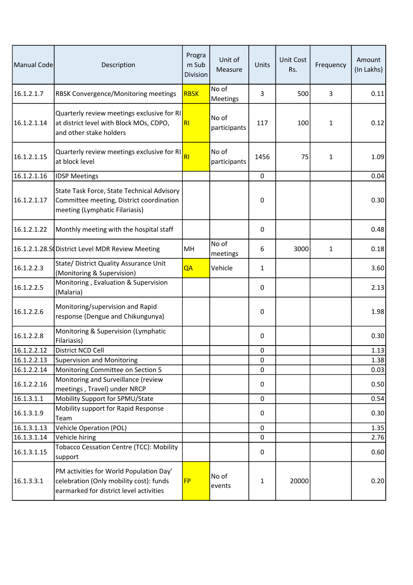| Manual Code | Description                                                                                                                   | Progra<br>m Sub<br>Division | Unit of<br>Measure    | Units       | <b>Unit Cost</b><br>Rs. | Frequency    | Amount<br>(In Lakhs) |
|-------------|-------------------------------------------------------------------------------------------------------------------------------|-----------------------------|-----------------------|-------------|-------------------------|--------------|----------------------|
| 16.1.2.1.7  | RBSK Convergence/Monitoring meetings                                                                                          | <b>RBSK</b>                 | No of<br>Meetings     | 3           | 500                     | 3            | 0.11                 |
| 16.1.2.1.14 | Quarterly review meetings exclusive for RI<br>at district level with Block MOs, CDPO,<br>and other stake holders              | RI                          | No of<br>participants | 117         | 100                     | $\mathbf{1}$ | 0.12                 |
| 16.1.2.1.15 | Quarterly review meetings exclusive for RI<br>at block level                                                                  | R1                          | No of<br>participants | 1456        | 75                      | 1            | 1.09                 |
| 16.1.2.1.16 | <b>IDSP Meetings</b>                                                                                                          |                             |                       | $\mathbf 0$ |                         |              | 0.04                 |
| 16.1.2.1.17 | State Task Force, State Technical Advisory<br>Committee meeting, District coordination<br>meeting (Lymphatic Filariasis)      |                             |                       | 0           |                         |              | 0.30                 |
| 16.1.2.1.22 | Monthly meeting with the hospital staff                                                                                       |                             |                       | 0           |                         |              | 0.48                 |
|             | 16.1.2.1.28.S District Level MDR Review Meeting                                                                               | MH                          | No of<br>meetings     | 6           | 3000                    | $\mathbf{1}$ | 0.18                 |
| 16.1.2.2.3  | State/ District Quality Assurance Unit<br>(Monitoring & Supervision)                                                          | QA                          | Vehicle               | 1           |                         |              | 3.60                 |
| 16.1.2.2.5  | Monitoring, Evaluation & Supervision<br>(Malaria)                                                                             |                             |                       | 0           |                         |              | 2.13                 |
| 16.1.2.2.6  | Monitoring/supervision and Rapid<br>response (Dengue and Chikungunya)                                                         |                             |                       | $\pmb{0}$   |                         |              | 1.98                 |
| 16.1.2.2.8  | Monitoring & Supervision (Lymphatic<br>Filariasis)                                                                            |                             |                       | $\pmb{0}$   |                         |              | 0.30                 |
| 16.1.2.2.12 | District NCD Cell                                                                                                             |                             |                       | 0           |                         |              | 1.13                 |
| 16.1.2.2.13 | Supervision and Monitoring                                                                                                    |                             |                       | $\pmb{0}$   |                         |              | 1.38                 |
| 16.1.2.2.14 | Monitoring Committee on Section 5                                                                                             |                             |                       | 0           |                         |              | 0.03                 |
| 16.1.2.2.16 | Monitoring and Surveillance (review<br>meetings, Travel) under NRCP                                                           |                             |                       | 0           |                         |              | 0.50                 |
| 16.1.3.1.1  | Mobility Support for SPMU/State                                                                                               |                             |                       | $\mathbf 0$ |                         |              | 0.54                 |
| 16.1.3.1.9  | Mobility support for Rapid Response<br>Team                                                                                   |                             |                       | 0           |                         |              | 0.30                 |
| 16.1.3.1.13 | <b>Vehicle Operation (POL)</b>                                                                                                |                             |                       | $\mathbf 0$ |                         |              | 1.35                 |
| 16.1.3.1.14 | Vehicle hiring                                                                                                                |                             |                       | 0           |                         |              | 2.76                 |
| 16.1.3.1.15 | Tobacco Cessation Centre (TCC): Mobility<br>support                                                                           |                             |                       | $\pmb{0}$   |                         |              | 0.60                 |
| 16.1.3.3.1  | PM activities for World Population Day'<br>celebration (Only mobility cost): funds<br>earmarked for district level activities | <b>FP</b>                   | No of<br>events       | 1           | 20000                   |              | 0.20                 |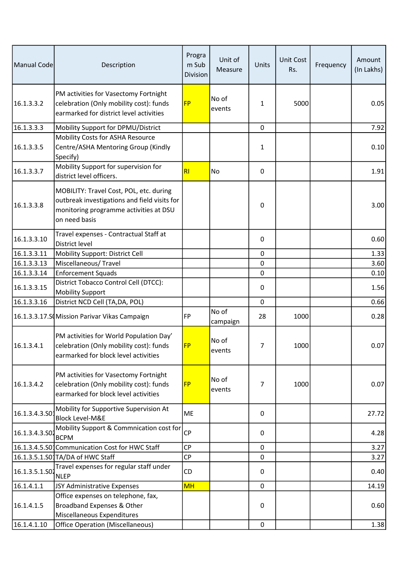| Manual Code    | Description                                                                                                                                        | Progra<br>m Sub<br>Division | Unit of<br>Measure | Units        | <b>Unit Cost</b><br>Rs. | Frequency | Amount<br>(In Lakhs) |
|----------------|----------------------------------------------------------------------------------------------------------------------------------------------------|-----------------------------|--------------------|--------------|-------------------------|-----------|----------------------|
| 16.1.3.3.2     | PM activities for Vasectomy Fortnight<br>celebration (Only mobility cost): funds<br>earmarked for district level activities                        | <b>FP</b>                   | No of<br>events    | $\mathbf{1}$ | 5000                    |           | 0.05                 |
| 16.1.3.3.3     | Mobility Support for DPMU/District                                                                                                                 |                             |                    | 0            |                         |           | 7.92                 |
| 16.1.3.3.5     | Mobility Costs for ASHA Resource<br>Centre/ASHA Mentoring Group (Kindly<br>Specify)                                                                |                             |                    | 1            |                         |           | 0.10                 |
| 16.1.3.3.7     | Mobility Support for supervision for<br>district level officers.                                                                                   | RI                          | No                 | 0            |                         |           | 1.91                 |
| 16.1.3.3.8     | MOBILITY: Travel Cost, POL, etc. during<br>outbreak investigations and field visits for<br>monitoring programme activities at DSU<br>on need basis |                             |                    | 0            |                         |           | 3.00                 |
| 16.1.3.3.10    | Travel expenses - Contractual Staff at<br>District level                                                                                           |                             |                    | 0            |                         |           | 0.60                 |
| 16.1.3.3.11    | Mobility Support: District Cell                                                                                                                    |                             |                    | $\mathbf 0$  |                         |           | 1.33                 |
| 16.1.3.3.13    | Miscellaneous/Travel                                                                                                                               |                             |                    | 0            |                         |           | 3.60                 |
| 16.1.3.3.14    | <b>Enforcement Squads</b>                                                                                                                          |                             |                    | 0            |                         |           | 0.10                 |
| 16.1.3.3.15    | District Tobacco Control Cell (DTCC):<br><b>Mobility Support</b>                                                                                   |                             |                    | 0            |                         |           | 1.56                 |
| 16.1.3.3.16    | District NCD Cell (TA, DA, POL)                                                                                                                    |                             |                    | $\mathbf 0$  |                         |           | 0.66                 |
|                | 16.1.3.3.17.S Mission Parivar Vikas Campaign                                                                                                       | <b>FP</b>                   | No of<br>campaign  | 28           | 1000                    |           | 0.28                 |
| 16.1.3.4.1     | PM activities for World Population Day'<br>celebration (Only mobility cost): funds<br>earmarked for block level activities                         | <b>FP</b>                   | No of<br>events    | 7            | 1000                    |           | 0.07                 |
| 16.1.3.4.2     | PM activities for Vasectomy Fortnight<br>celebration (Only mobility cost): funds<br>earmarked for block level activities                           | <b>FP</b>                   | No of<br>events    | 7            | 1000                    |           | 0.07                 |
| 16.1.3.4.3.50  | Mobility for Supportive Supervision At<br><b>Block Level-M&amp;E</b>                                                                               | <b>ME</b>                   |                    | 0            |                         |           | 27.72                |
| 16.1.3.4.3.502 | Mobility Support & Commnication cost for<br><b>BCPM</b>                                                                                            | <b>CP</b>                   |                    | 0            |                         |           | 4.28                 |
|                | 16.1.3.4.5.S0 <sup>1</sup> Communication Cost for HWC Staff                                                                                        | <b>CP</b>                   |                    | 0            |                         |           | 3.27                 |
|                | 16.1.3.5.1.S01TA/DA of HWC Staff                                                                                                                   | CP                          |                    | 0            |                         |           | 3.27                 |
| 16.1.3.5.1.S02 | Travel expenses for regular staff under<br><b>NLEP</b>                                                                                             | CD                          |                    | 0            |                         |           | 0.40                 |
| 16.1.4.1.1     | JSY Administrative Expenses                                                                                                                        | <b>MH</b>                   |                    | 0            |                         |           | 14.19                |
| 16.1.4.1.5     | Office expenses on telephone, fax,<br>Broadband Expenses & Other<br>Miscellaneous Expenditures                                                     |                             |                    | 0            |                         |           | 0.60                 |
| 16.1.4.1.10    | <b>Office Operation (Miscellaneous)</b>                                                                                                            |                             |                    | $\mathbf 0$  |                         |           | 1.38                 |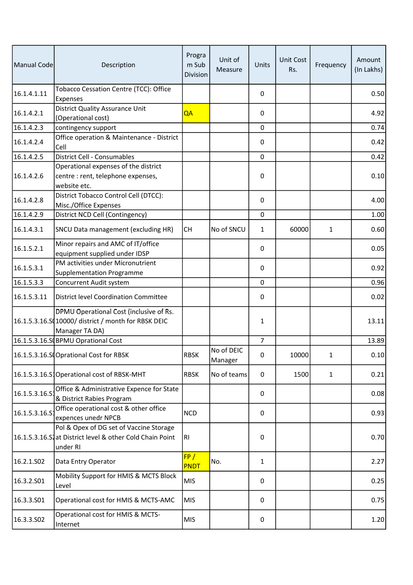| Manual Code   | Description                                                                                                       | Progra<br>m Sub<br>Division | Unit of<br>Measure    | Units          | <b>Unit Cost</b><br>Rs. | Frequency    | Amount<br>(In Lakhs) |
|---------------|-------------------------------------------------------------------------------------------------------------------|-----------------------------|-----------------------|----------------|-------------------------|--------------|----------------------|
| 16.1.4.1.11   | Tobacco Cessation Centre (TCC): Office<br><b>Expenses</b>                                                         |                             |                       | 0              |                         |              | 0.50                 |
| 16.1.4.2.1    | <b>District Quality Assurance Unit</b><br>(Operational cost)                                                      | QA                          |                       | 0              |                         |              | 4.92                 |
| 16.1.4.2.3    | contingency support                                                                                               |                             |                       | 0              |                         |              | 0.74                 |
| 16.1.4.2.4    | Office operation & Maintenance - District<br>Cell                                                                 |                             |                       | 0              |                         |              | 0.42                 |
| 16.1.4.2.5    | District Cell - Consumables                                                                                       |                             |                       | $\mathbf 0$    |                         |              | 0.42                 |
| 16.1.4.2.6    | Operational expenses of the district<br>centre : rent, telephone expenses,<br>website etc.                        |                             |                       | $\pmb{0}$      |                         |              | 0.10                 |
| 16.1.4.2.8    | District Tobacco Control Cell (DTCC):<br>Misc./Office Expenses                                                    |                             |                       | 0              |                         |              | 4.00                 |
| 16.1.4.2.9    | District NCD Cell (Contingency)                                                                                   |                             |                       | 0              |                         |              | 1.00                 |
| 16.1.4.3.1    | SNCU Data management (excluding HR)                                                                               | <b>CH</b>                   | No of SNCU            | 1              | 60000                   | $\mathbf{1}$ | 0.60                 |
| 16.1.5.2.1    | Minor repairs and AMC of IT/office<br>equipment supplied under IDSP                                               |                             |                       | 0              |                         |              | 0.05                 |
| 16.1.5.3.1    | PM activities under Micronutrient<br><b>Supplementation Programme</b>                                             |                             |                       | 0              |                         |              | 0.92                 |
| 16.1.5.3.3    | Concurrent Audit system                                                                                           |                             |                       | $\mathbf 0$    |                         |              | 0.96                 |
| 16.1.5.3.11   | District level Coordination Committee                                                                             |                             |                       | 0              |                         |              | 0.02                 |
|               | DPMU Operational Cost (inclusive of Rs.<br>16.1.5.3.16.S (10000/ district / month for RBSK DEIC<br>Manager TA DA) |                             |                       | 1              |                         |              | 13.11                |
|               | 16.1.5.3.16.SOBPMU Oprational Cost                                                                                |                             |                       | $\overline{7}$ |                         |              | 13.89                |
|               | 16.1.5.3.16.SoOprational Cost for RBSK                                                                            | <b>RBSK</b>                 | No of DEIC<br>Manager | 0              | 10000                   | 1            | 0.10                 |
|               | 16.1.5.3.16.S Operational cost of RBSK-MHT                                                                        | <b>RBSK</b>                 | No of teams           | 0              | 1500                    | $\mathbf{1}$ | 0.21                 |
| 16.1.5.3.16.S | Office & Administrative Expence for State<br>& District Rabies Program                                            |                             |                       | 0              |                         |              | 0.08                 |
| 16.1.5.3.16.S | Office operational cost & other office<br>expences unedr NPCB                                                     | <b>NCD</b>                  |                       | 0              |                         |              | 0.93                 |
|               | Pol & Opex of DG set of Vaccine Storage<br>16.1.5.3.16.S1at District level & other Cold Chain Point<br>under RI   | <b>RI</b>                   |                       | 0              |                         |              | 0.70                 |
| 16.2.1.S02    | Data Entry Operator                                                                                               | FP/<br>PNDT                 | No.                   | 1              |                         |              | 2.27                 |
| 16.3.2.S01    | Mobility Support for HMIS & MCTS Block<br>Level                                                                   | <b>MIS</b>                  |                       | $\pmb{0}$      |                         |              | 0.25                 |
| 16.3.3.501    | Operational cost for HMIS & MCTS-AMC                                                                              | <b>MIS</b>                  |                       | 0              |                         |              | 0.75                 |
| 16.3.3.502    | Operational cost for HMIS & MCTS-<br>Internet                                                                     | <b>MIS</b>                  |                       | 0              |                         |              | 1.20                 |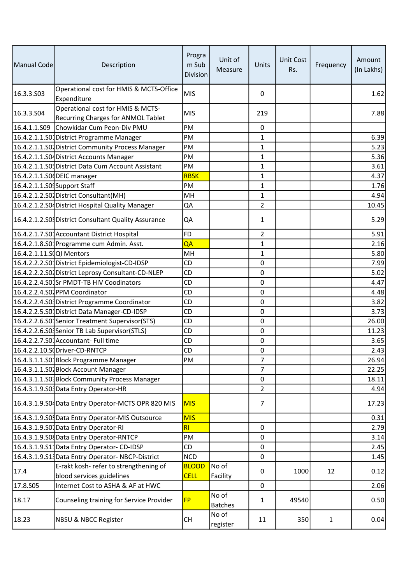| Manual Code                 | Description                                                                    | Progra<br>m Sub<br>Division | Unit of<br>Measure      | Units          | <b>Unit Cost</b><br>Rs. | Frequency    | Amount<br>(In Lakhs) |
|-----------------------------|--------------------------------------------------------------------------------|-----------------------------|-------------------------|----------------|-------------------------|--------------|----------------------|
| 16.3.3.503                  | Operational cost for HMIS & MCTS-Office<br>Expenditure                         | <b>MIS</b>                  |                         | 0              |                         |              | 1.62                 |
| 16.3.3.504                  | Operational cost for HMIS & MCTS-<br><b>Recurring Charges for ANMOL Tablet</b> | <b>MIS</b>                  |                         | 219            |                         |              | 7.88                 |
|                             | 16.4.1.1.S09 Chowkidar Cum Peon-Div PMU                                        | PM                          |                         | 0              |                         |              |                      |
|                             | 16.4.2.1.1.S01District Programme Manager                                       | PM                          |                         | 1              |                         |              | 6.39                 |
|                             | 16.4.2.1.1.S01 District Community Process Manager                              | PM                          |                         | $\mathbf 1$    |                         |              | 5.23                 |
|                             | 16.4.2.1.1.S04 District Accounts Manager                                       | PM                          |                         | $\mathbf{1}$   |                         |              | 5.36                 |
|                             | 16.4.2.1.1.S0 District Data Cum Account Assistant                              | PM                          |                         | 1              |                         |              | 3.61                 |
|                             | 16.4.2.1.1.S0 DEIC manager                                                     | <b>RBSK</b>                 |                         | $\mathbf{1}$   |                         |              | 4.37                 |
| 16.4.2.1.1.S0 Support Staff |                                                                                | PM                          |                         | $\mathbf{1}$   |                         |              | 1.76                 |
|                             | 16.4.2.1.2.S01 District Consultant(MH)                                         | MH                          |                         | $\mathbf{1}$   |                         |              | 4.94                 |
|                             | 16.4.2.1.2.S04 District Hospital Quality Manager                               | QA                          |                         | $\overline{2}$ |                         |              | 10.45                |
|                             | 16.4.2.1.2.S0. District Consultant Quality Assurance                           | QA                          |                         | $\mathbf{1}$   |                         |              | 5.29                 |
|                             | 16.4.2.1.7.S01 Accountant District Hospital                                    | <b>FD</b>                   |                         | $\overline{2}$ |                         |              | 5.91                 |
|                             | 16.4.2.1.8.S01Programme cum Admin. Asst.                                       | QA                          |                         | $\mathbf{1}$   |                         |              | 2.16                 |
| 16.4.2.1.11.SQQI Mentors    |                                                                                | MH                          |                         | 1              |                         |              | 5.80                 |
|                             | 16.4.2.2.2.S01District Epidemiologist-CD-IDSP                                  | <b>CD</b>                   |                         | 0              |                         |              | 7.99                 |
|                             | 16.4.2.2.2.S0 District Leprosy Consultant-CD-NLEP                              | CD                          |                         | $\mathbf 0$    |                         |              | 5.02                 |
|                             | 16.4.2.2.4.S0 <sup>1</sup> Sr PMDT-TB HIV Coodinators                          | CD                          |                         | 0              |                         |              | 4.47                 |
|                             | 16.4.2.2.4.S01PPM Coordinator                                                  | CD                          |                         | 0              |                         |              | 4.48                 |
|                             | 16.4.2.2.4.S0 <sup>1</sup> District Programme Coordinator                      | CD                          |                         | $\mathbf 0$    |                         |              | 3.82                 |
|                             | 16.4.2.2.5.S01District Data Manager-CD-IDSP                                    | CD                          |                         | 0              |                         |              | 3.73                 |
|                             | 16.4.2.2.6.S01Senior Treatment Supervisor(STS)                                 | CD                          |                         | 0              |                         |              | 26.00                |
|                             | 16.4.2.2.6.S0. Senior TB Lab Supervisor (STLS)                                 | CD                          |                         | $\mathbf 0$    |                         |              | 11.23                |
|                             | 16.4.2.2.7.S01Accountant-Full time                                             | <b>CD</b>                   |                         | $\pmb{0}$      |                         |              | 3.65                 |
|                             | 16.4.2.2.10.S Driver-CD-RNTCP                                                  | CD                          |                         | 0              |                         |              | 2.43                 |
|                             | 16.4.3.1.1.S01Block Programme Manager                                          | PM                          |                         | 7              |                         |              | $\overline{26.94}$   |
|                             | 16.4.3.1.1.SO Block Account Manager                                            |                             |                         | 7              |                         |              | 22.25                |
|                             | 16.4.3.1.1.S0 <sup>1</sup> Block Community Process Manager                     |                             |                         | 0              |                         |              | 18.11                |
|                             | 16.4.3.1.9.S03 Data Entry Operator-HR                                          |                             |                         | $\overline{2}$ |                         |              | 4.94                 |
|                             | 16.4.3.1.9.S04 Data Entry Operator-MCTS OPR 820 MIS                            | <b>MIS</b>                  |                         | $\overline{7}$ |                         |              | 17.23                |
|                             | 16.4.3.1.9.S0 Data Entry Operator-MIS Outsource                                | <b>MIS</b>                  |                         |                |                         |              | 0.31                 |
|                             | 16.4.3.1.9.S01Data Entry Operator-RI                                           | RI                          |                         | $\mathbf 0$    |                         |              | 2.79                 |
|                             | 16.4.3.1.9.S0 Data Entry Operator-RNTCP                                        | PM                          |                         | 0              |                         |              | 3.14                 |
|                             | 16.4.3.1.9.S11Data Entry Operator- CD-IDSP                                     | <b>CD</b>                   |                         | 0              |                         |              | 2.45                 |
|                             | 16.4.3.1.9.S13Data Entry Operator-NBCP-District                                | <b>NCD</b>                  |                         | $\mathbf 0$    |                         |              | 1.45                 |
|                             | E-rakt kosh- refer to strengthening of                                         | <b>BLOOD</b>                | No of                   |                |                         |              |                      |
| 17.4                        | blood services guidelines                                                      | <b>CELL</b>                 | Facility                | 0              | 1000                    | 12           | 0.12                 |
| 17.8.S05                    | Internet Cost to ASHA & AF at HWC                                              |                             |                         | $\mathbf 0$    |                         |              | 2.06                 |
| 18.17                       | Counseling training for Service Provider                                       | <b>FP</b>                   | No of<br><b>Batches</b> | 1              | 49540                   |              | 0.50                 |
| 18.23                       | <b>NBSU &amp; NBCC Register</b>                                                | <b>CH</b>                   | No of<br>register       | 11             | 350                     | $\mathbf{1}$ | 0.04                 |